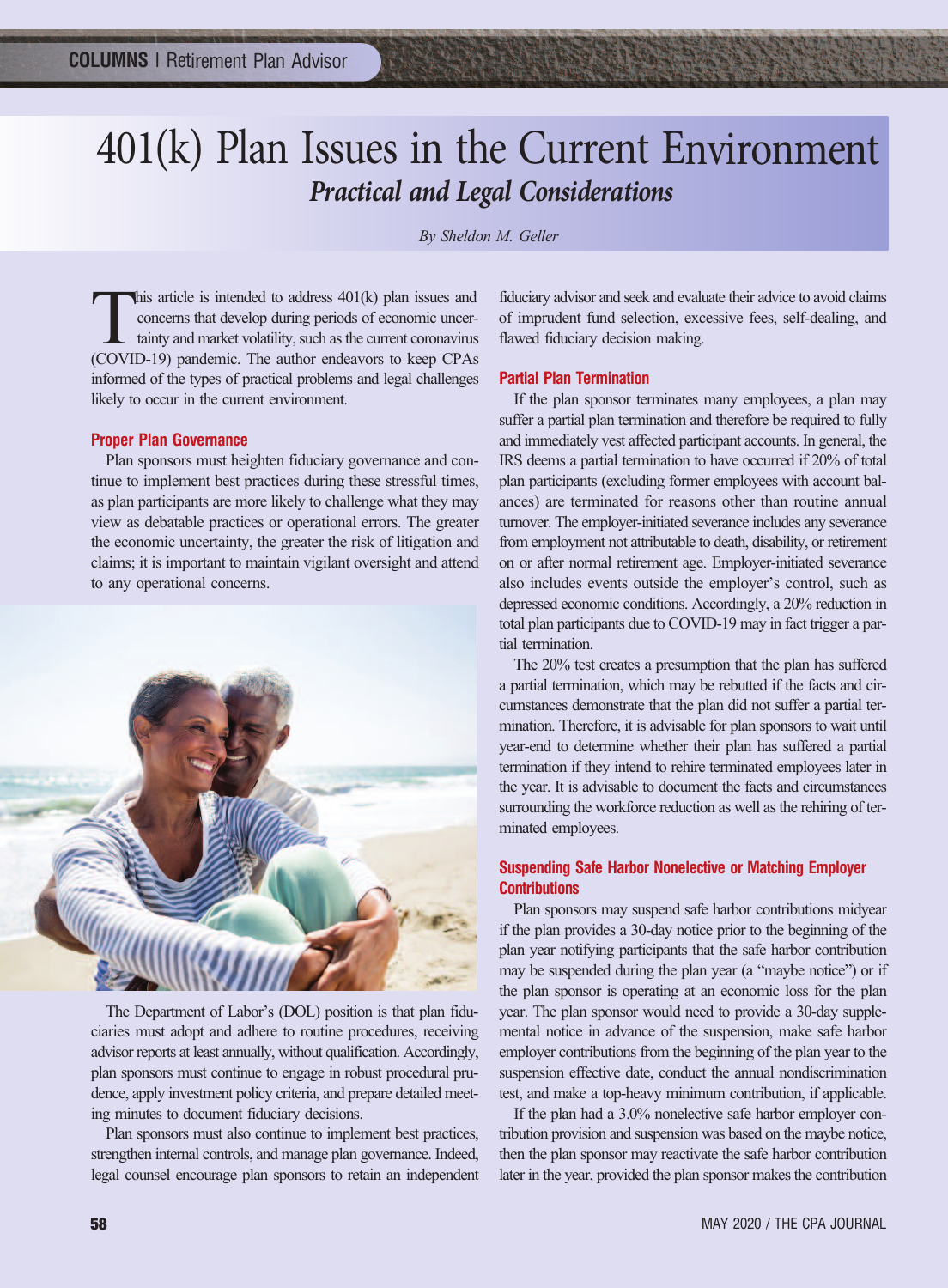# 401(k) Plan Issues in the Current Environment *Practical and Legal Considerations*

*By Sheldon M. Geller*

This article is intended to address 401(k) plan issues and<br>concerns that develop during periods of economic uncer-<br>tainty and market volatility, such as the current coronavirus<br>(COVID-19) pandemic. The author endeavors to concerns that develop during periods of economic uncertainty and market volatility, such as the current coronavirus (COVID-19) pandemic. The author endeavors to keep CPAs informed of the types of practical problems and legal challenges likely to occur in the current environment.

#### **Proper Plan Governance**

Plan sponsors must heighten fiduciary governance and continue to implement best practices during these stressful times, as plan participants are more likely to challenge what they may view as debatable practices or operational errors. The greater the economic uncertainty, the greater the risk of litigation and claims; it is important to maintain vigilant oversight and attend to any operational concerns.



The Department of Labor's (DOL) position is that plan fiduciaries must adopt and adhere to routine procedures, receiving advisor reports at least annually, without qualification. Accordingly, plan sponsors must continue to engage in robust procedural prudence, apply investment policy criteria, and prepare detailed meeting minutes to document fiduciary decisions.

Plan sponsors must also continue to implement best practices, strengthen internal controls, and manage plan governance. Indeed, legal counsel encourage plan sponsors to retain an independent fiduciary advisor and seek and evaluate their advice to avoid claims of imprudent fund selection, excessive fees, self-dealing, and flawed fiduciary decision making.

### **Partial Plan Termination**

If the plan sponsor terminates many employees, a plan may suffer a partial plan termination and therefore be required to fully and immediately vest affected participant accounts. In general, the IRS deems a partial termination to have occurred if 20% of total plan participants (excluding former employees with account balances) are terminated for reasons other than routine annual turnover. The employer-initiated severance includes any severance from employment not attributable to death, disability, or retirement on or after normal retirement age. Employer-initiated severance also includes events outside the employer's control, such as depressed economic conditions. Accordingly, a 20% reduction in total plan participants due to COVID-19 may in fact trigger a partial termination.

The 20% test creates a presumption that the plan has suffered a partial termination, which may be rebutted if the facts and circumstances demonstrate that the plan did not suffer a partial termination. Therefore, it is advisable for plan sponsors to wait until year-end to determine whether their plan has suffered a partial termination if they intend to rehire terminated employees later in the year. It is advisable to document the facts and circumstances surrounding the workforce reduction as well as the rehiring of terminated employees.

## **Suspending Safe Harbor Nonelective or Matching Employer Contributions**

Plan sponsors may suspend safe harbor contributions midyear if the plan provides a 30-day notice prior to the beginning of the plan year notifying participants that the safe harbor contribution may be suspended during the plan year (a "maybe notice") or if the plan sponsor is operating at an economic loss for the plan year. The plan sponsor would need to provide a 30-day supplemental notice in advance of the suspension, make safe harbor employer contributions from the beginning of the plan year to the suspension effective date, conduct the annual nondiscrimination test, and make a top-heavy minimum contribution, if applicable.

If the plan had a 3.0% nonelective safe harbor employer contribution provision and suspension was based on the maybe notice, then the plan sponsor may reactivate the safe harbor contribution later in the year, provided the plan sponsor makes the contribution